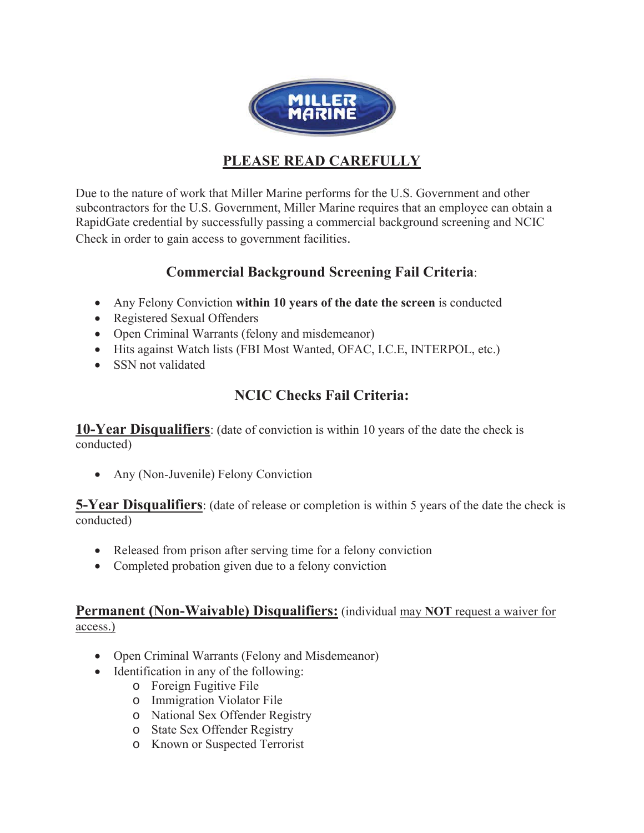

# **PLEASE READ CAREFULLY**

Due to the nature of work that Miller Marine performs for the U.S. Government and other subcontractors for the U.S. Government, Miller Marine requires that an employee can obtain a RapidGate credential by successfully passing a commercial background screening and NCIC Check in order to gain access to government facilities.

# **Commercial Background Screening Fail Criteria**:

- Any Felony Conviction **within 10 years of the date the screen** is conducted
- Registered Sexual Offenders
- Open Criminal Warrants (felony and misdemeanor)
- x Hits against Watch lists (FBI Most Wanted, OFAC, I.C.E, INTERPOL, etc.)
- SSN not validated

# **NCIC Checks Fail Criteria:**

**10-Year Disqualifiers**: (date of conviction is within 10 years of the date the check is conducted)

• Any (Non-Juvenile) Felony Conviction

**5-Year Disqualifiers**: (date of release or completion is within 5 years of the date the check is conducted)

- Released from prison after serving time for a felony conviction
- Completed probation given due to a felony conviction

## **Permanent (Non-Waivable) Disqualifiers:** (individual may **NOT** request a waiver for access.)

- Open Criminal Warrants (Felony and Misdemeanor)
- $\bullet$  Identification in any of the following:
	- o Foreign Fugitive File
	- o Immigration Violator File
	- o National Sex Offender Registry
	- o State Sex Offender Registry
	- o Known or Suspected Terrorist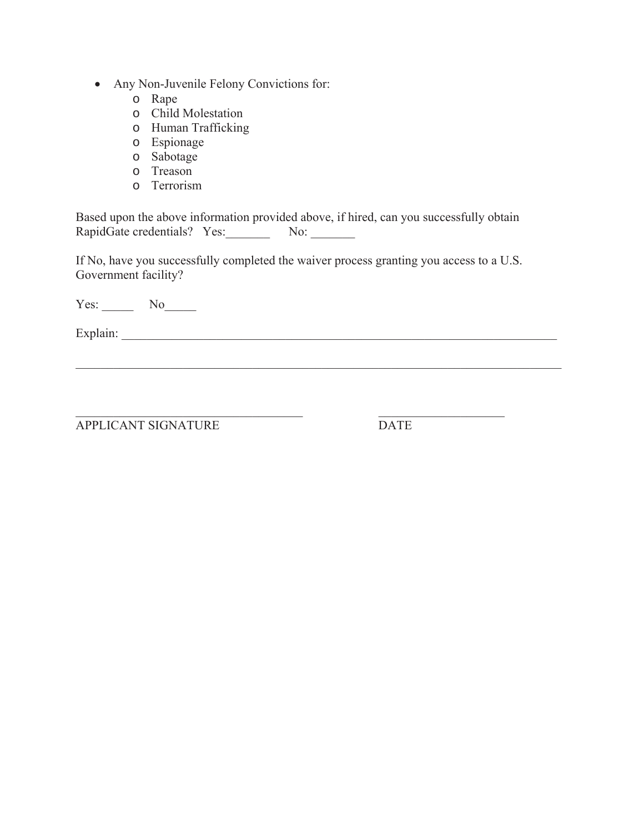- Any Non-Juvenile Felony Convictions for:
	- o Rape
	- o Child Molestation
	- o Human Trafficking
	- o Espionage
	- o Sabotage
	- o Treason
	- o Terrorism

Based upon the above information provided above, if hired, can you successfully obtain RapidGate credentials? Yes: No:

If No, have you successfully completed the waiver process granting you access to a U.S. Government facility?

 $\mathcal{L}_\mathcal{L} = \mathcal{L}_\mathcal{L} = \mathcal{L}_\mathcal{L} = \mathcal{L}_\mathcal{L} = \mathcal{L}_\mathcal{L} = \mathcal{L}_\mathcal{L} = \mathcal{L}_\mathcal{L} = \mathcal{L}_\mathcal{L} = \mathcal{L}_\mathcal{L} = \mathcal{L}_\mathcal{L} = \mathcal{L}_\mathcal{L} = \mathcal{L}_\mathcal{L} = \mathcal{L}_\mathcal{L} = \mathcal{L}_\mathcal{L} = \mathcal{L}_\mathcal{L} = \mathcal{L}_\mathcal{L} = \mathcal{L}_\mathcal{L}$ 

Yes: No\_\_\_\_\_\_

Explain: \_\_\_\_\_\_\_\_\_\_\_\_\_\_\_\_\_\_\_\_\_\_\_\_\_\_\_\_\_\_\_\_\_\_\_\_\_\_\_\_\_\_\_\_\_\_\_\_\_\_\_\_\_\_\_\_\_\_\_\_\_\_\_\_\_\_\_\_\_

APPLICANT SIGNATURE DATE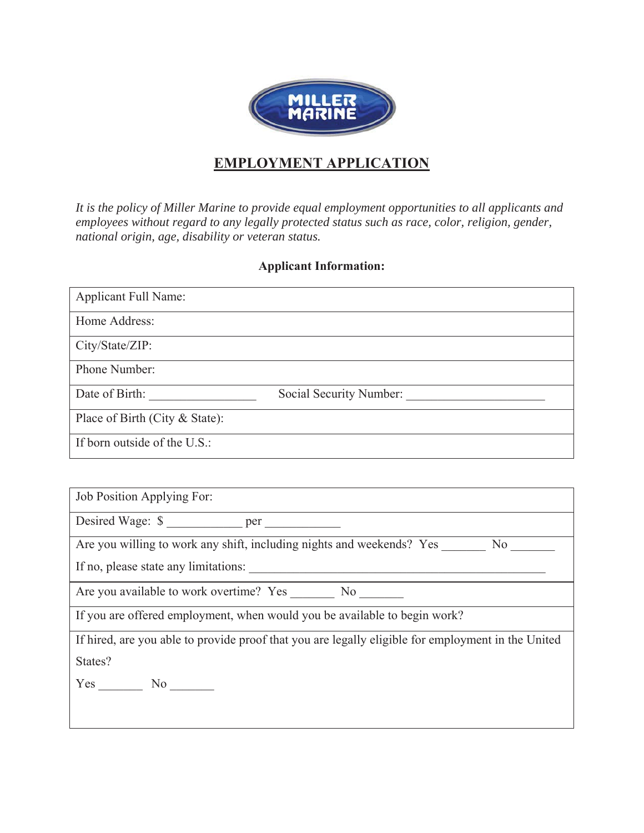

# **EMPLOYMENT APPLICATION**

*It is the policy of Miller Marine to provide equal employment opportunities to all applicants and employees without regard to any legally protected status such as race, color, religion, gender, national origin, age, disability or veteran status.* 

### **Applicant Information:**

| <b>Applicant Full Name:</b>    |                         |
|--------------------------------|-------------------------|
| Home Address:                  |                         |
| City/State/ZIP:                |                         |
| Phone Number:                  |                         |
| Date of Birth:                 | Social Security Number: |
| Place of Birth (City & State): |                         |
| If born outside of the U.S.:   |                         |

Job Position Applying For:

Desired Wage:  $\sqrt[6]{\ }$ 

Are you willing to work any shift, including nights and weekends? Yes No

If no, please state any limitations:

Are you available to work overtime? Yes \_\_\_\_\_\_\_\_ No \_\_\_\_\_\_\_

If you are offered employment, when would you be available to begin work?

If hired, are you able to provide proof that you are legally eligible for employment in the United States?

Yes \_\_\_\_\_\_\_ No \_\_\_\_\_\_\_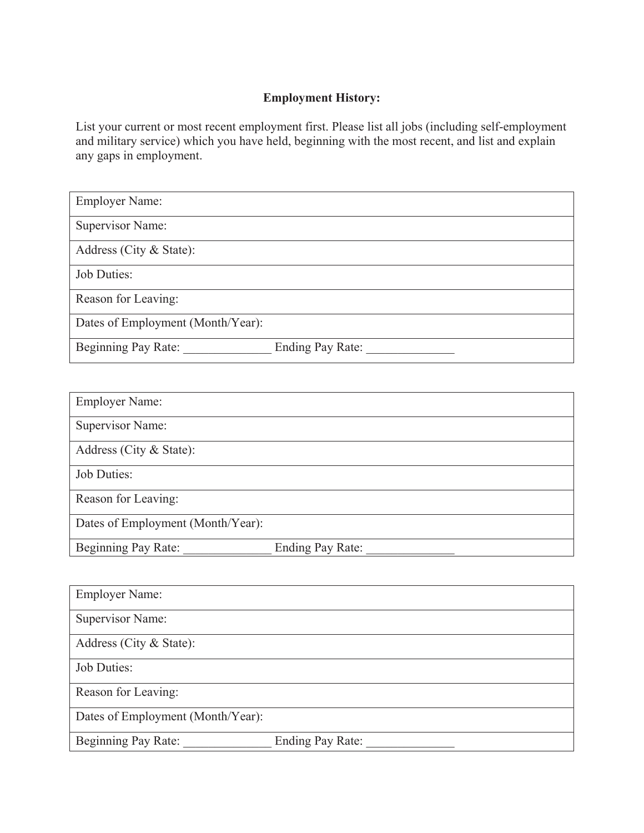## **Employment History:**

List your current or most recent employment first. Please list all jobs (including self-employment and military service) which you have held, beginning with the most recent, and list and explain any gaps in employment.

| <b>Employer Name:</b>                          |
|------------------------------------------------|
| Supervisor Name:                               |
| Address (City & State):                        |
| Job Duties:                                    |
| Reason for Leaving:                            |
| Dates of Employment (Month/Year):              |
| Beginning Pay Rate:<br><b>Ending Pay Rate:</b> |

| <b>Employer Name:</b>             |                         |
|-----------------------------------|-------------------------|
| Supervisor Name:                  |                         |
| Address (City & State):           |                         |
| Job Duties:                       |                         |
| Reason for Leaving:               |                         |
| Dates of Employment (Month/Year): |                         |
| Beginning Pay Rate:               | <b>Ending Pay Rate:</b> |

| <b>Employer Name:</b>             |                         |
|-----------------------------------|-------------------------|
| Supervisor Name:                  |                         |
| Address (City & State):           |                         |
| Job Duties:                       |                         |
| Reason for Leaving:               |                         |
| Dates of Employment (Month/Year): |                         |
| Beginning Pay Rate:               | <b>Ending Pay Rate:</b> |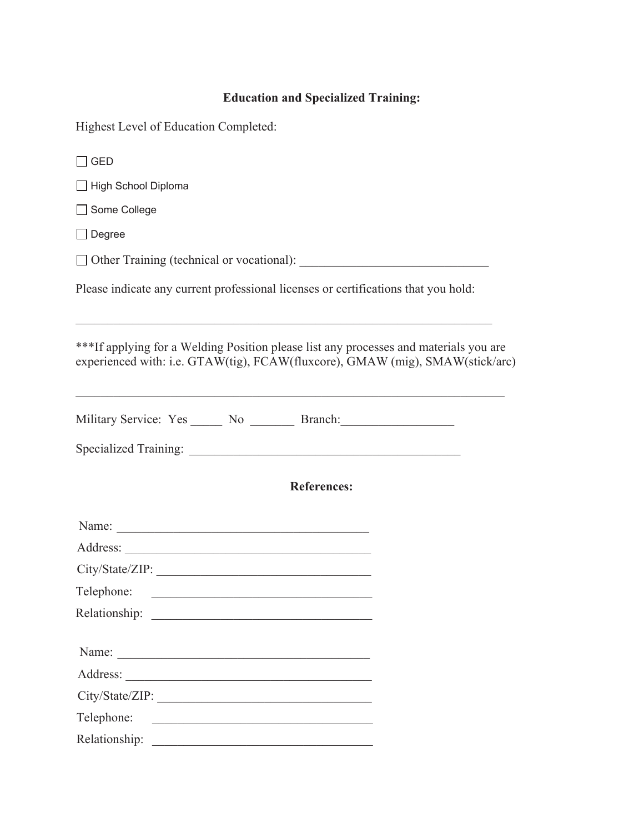# **Education and Specialized Training:**

| Highest Level of Education Completed:                                                                                                                                  |  |  |  |  |
|------------------------------------------------------------------------------------------------------------------------------------------------------------------------|--|--|--|--|
| $\Box$ GED                                                                                                                                                             |  |  |  |  |
| □ High School Diploma                                                                                                                                                  |  |  |  |  |
| Some College                                                                                                                                                           |  |  |  |  |
| $\Box$ Degree                                                                                                                                                          |  |  |  |  |
|                                                                                                                                                                        |  |  |  |  |
| Please indicate any current professional licenses or certifications that you hold:                                                                                     |  |  |  |  |
| ***If applying for a Welding Position please list any processes and materials you are<br>experienced with: i.e. GTAW(tig), FCAW(fluxcore), GMAW (mig), SMAW(stick/arc) |  |  |  |  |
| Military Service: Yes ______ No ________ Branch: ________________________________                                                                                      |  |  |  |  |
|                                                                                                                                                                        |  |  |  |  |
| <b>References:</b>                                                                                                                                                     |  |  |  |  |
|                                                                                                                                                                        |  |  |  |  |
|                                                                                                                                                                        |  |  |  |  |
|                                                                                                                                                                        |  |  |  |  |
| Telephone:                                                                                                                                                             |  |  |  |  |
|                                                                                                                                                                        |  |  |  |  |
|                                                                                                                                                                        |  |  |  |  |
|                                                                                                                                                                        |  |  |  |  |
|                                                                                                                                                                        |  |  |  |  |
| Telephone:<br><u> 1980 - Andrea Station, amerikansk politik (</u>                                                                                                      |  |  |  |  |
|                                                                                                                                                                        |  |  |  |  |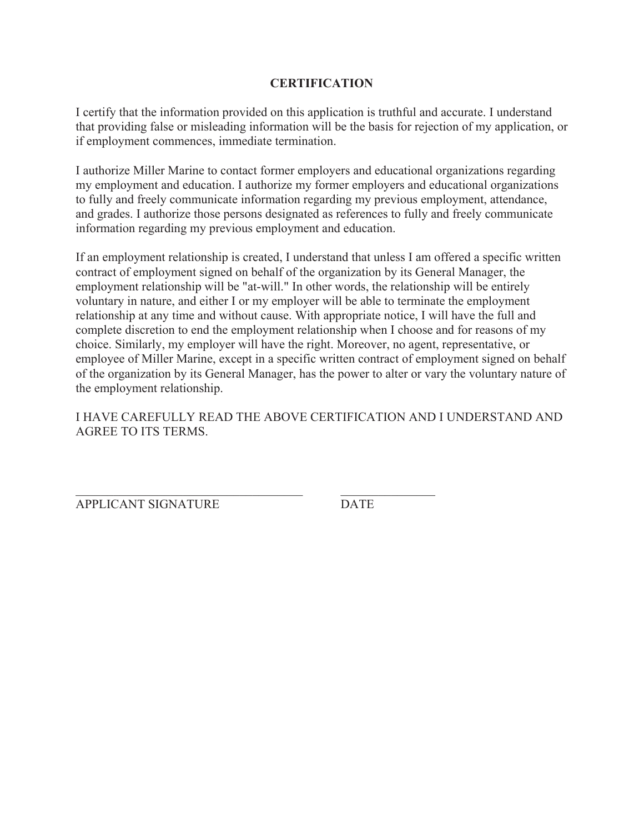### **CERTIFICATION**

I certify that the information provided on this application is truthful and accurate. I understand that providing false or misleading information will be the basis for rejection of my application, or if employment commences, immediate termination.

I authorize Miller Marine to contact former employers and educational organizations regarding my employment and education. I authorize my former employers and educational organizations to fully and freely communicate information regarding my previous employment, attendance, and grades. I authorize those persons designated as references to fully and freely communicate information regarding my previous employment and education.

If an employment relationship is created, I understand that unless I am offered a specific written contract of employment signed on behalf of the organization by its General Manager, the employment relationship will be "at-will." In other words, the relationship will be entirely voluntary in nature, and either I or my employer will be able to terminate the employment relationship at any time and without cause. With appropriate notice, I will have the full and complete discretion to end the employment relationship when I choose and for reasons of my choice. Similarly, my employer will have the right. Moreover, no agent, representative, or employee of Miller Marine, except in a specific written contract of employment signed on behalf of the organization by its General Manager, has the power to alter or vary the voluntary nature of the employment relationship.

I HAVE CAREFULLY READ THE ABOVE CERTIFICATION AND I UNDERSTAND AND AGREE TO ITS TERMS.

APPLICANT SIGNATURE DATE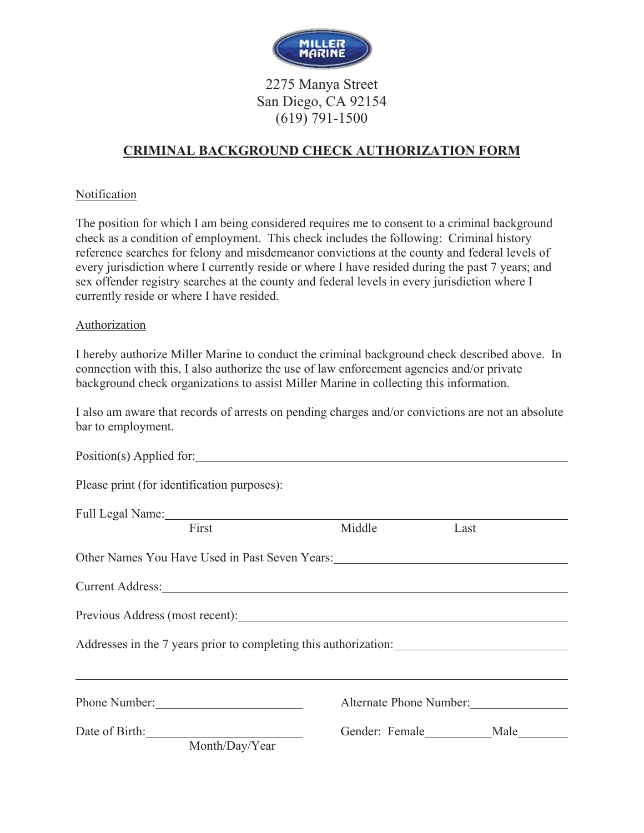

2275 Manya Street San Diego, CA 92154 (619) 791-1500

## **CRIMINAL BACKGROUND CHECK AUTHORIZATION FORM**

### **Notification**

The position for which I am being considered requires me to consent to a criminal background check as a condition of employment. This check includes the following: Criminal history reference searches for felony and misdemeanor convictions at the county and federal levels of every jurisdiction where I currently reside or where I have resided during the past 7 years; and sex offender registry searches at the county and federal levels in every jurisdiction where I currently reside or where I have resided.

### Authorization

I hereby authorize Miller Marine to conduct the criminal background check described above. In connection with this, I also authorize the use of law enforcement agencies and/or private background check organizations to assist Miller Marine in collecting this information.

I also am aware that records of arrests on pending charges and/or convictions are not an absolute bar to employment.

| Please print (for identification purposes):                                                                                                                                                                                    |        |                         |  |
|--------------------------------------------------------------------------------------------------------------------------------------------------------------------------------------------------------------------------------|--------|-------------------------|--|
| Full Legal Name: 1998<br>First                                                                                                                                                                                                 | Middle | Last                    |  |
|                                                                                                                                                                                                                                |        |                         |  |
| Other Names You Have Used in Past Seven Years:                                                                                                                                                                                 |        |                         |  |
| Current Address: No. 1996. The Contract of the Contract of the Contract of the Contract of the Contract of the Contract of the Contract of the Contract of the Contract of the Contract of the Contract of the Contract of the |        |                         |  |
| Previous Address (most recent): Notified and the control of the control of the control of the control of the control of the control of the control of the control of the control of the control of the control of the control  |        |                         |  |
| Addresses in the 7 years prior to completing this authorization:                                                                                                                                                               |        |                         |  |
| <u> 1989 - Andrea Santa Alemania, amerikana amerikana amerikana amerikana amerikana amerikana amerikana amerikana</u>                                                                                                          |        |                         |  |
|                                                                                                                                                                                                                                |        | Alternate Phone Number: |  |
| Date of Birth: 1993                                                                                                                                                                                                            |        | Gender: Female Male     |  |
| Month/Day/Year                                                                                                                                                                                                                 |        |                         |  |